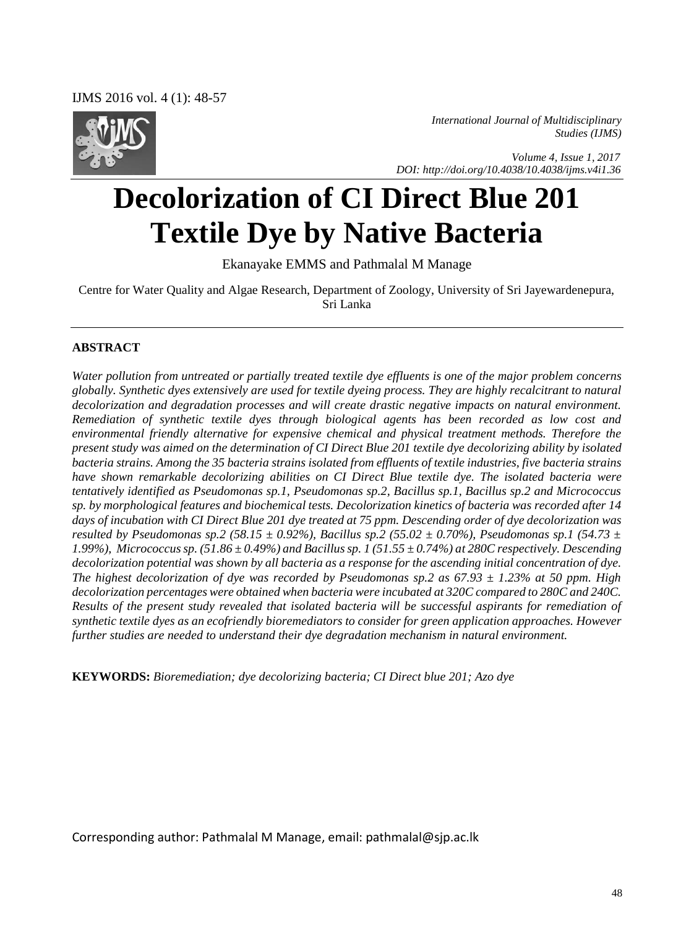IJMS 2016 vol. 4 (1): 48-57



*International Journal of Multidisciplinary Studies (IJMS)* 

 *Volume 4, Issue 1, 2017 DOI: http://doi.org/10.4038/10.4038/ijms.v4i1.36*

# **Decolorization of CI Direct Blue 201 Textile Dye by Native Bacteria**

Ekanayake EMMS and Pathmalal M Manage

Centre for Water Quality and Algae Research, Department of Zoology, University of Sri Jayewardenepura, Sri Lanka

#### **ABSTRACT**

*Water pollution from untreated or partially treated textile dye effluents is one of the major problem concerns globally. Synthetic dyes extensively are used for textile dyeing process. They are highly recalcitrant to natural decolorization and degradation processes and will create drastic negative impacts on natural environment. Remediation of synthetic textile dyes through biological agents has been recorded as low cost and environmental friendly alternative for expensive chemical and physical treatment methods. Therefore the present study was aimed on the determination of CI Direct Blue 201 textile dye decolorizing ability by isolated bacteria strains. Among the 35 bacteria strains isolated from effluents of textile industries, five bacteria strains have shown remarkable decolorizing abilities on CI Direct Blue textile dye. The isolated bacteria were tentatively identified as Pseudomonas sp.1, Pseudomonas sp.2, Bacillus sp.1, Bacillus sp.2 and Micrococcus sp. by morphological features and biochemical tests. Decolorization kinetics of bacteria was recorded after 14 days of incubation with CI Direct Blue 201 dye treated at 75 ppm. Descending order of dye decolorization was resulted by Pseudomonas sp.2 (58.15 ± 0.92%), Bacillus sp.2 (55.02 ± 0.70%), Pseudomonas sp.1 (54.73 ± 1.99%), Micrococcus sp. (51.86 ± 0.49%) and Bacillus sp. 1 (51.55 ± 0.74%) at 280C respectively. Descending decolorization potential was shown by all bacteria as a response for the ascending initial concentration of dye. The highest decolorization of dye was recorded by Pseudomonas sp.2 as 67.93 ± 1.23% at 50 ppm. High decolorization percentages were obtained when bacteria were incubated at 320C compared to 280C and 240C. Results of the present study revealed that isolated bacteria will be successful aspirants for remediation of synthetic textile dyes as an ecofriendly bioremediators to consider for green application approaches. However further studies are needed to understand their dye degradation mechanism in natural environment.* 

**KEYWORDS:** *Bioremediation; dye decolorizing bacteria; CI Direct blue 201; Azo dye* 

Corresponding author: Pathmalal M Manage, email: pathmalal@sjp.ac.lk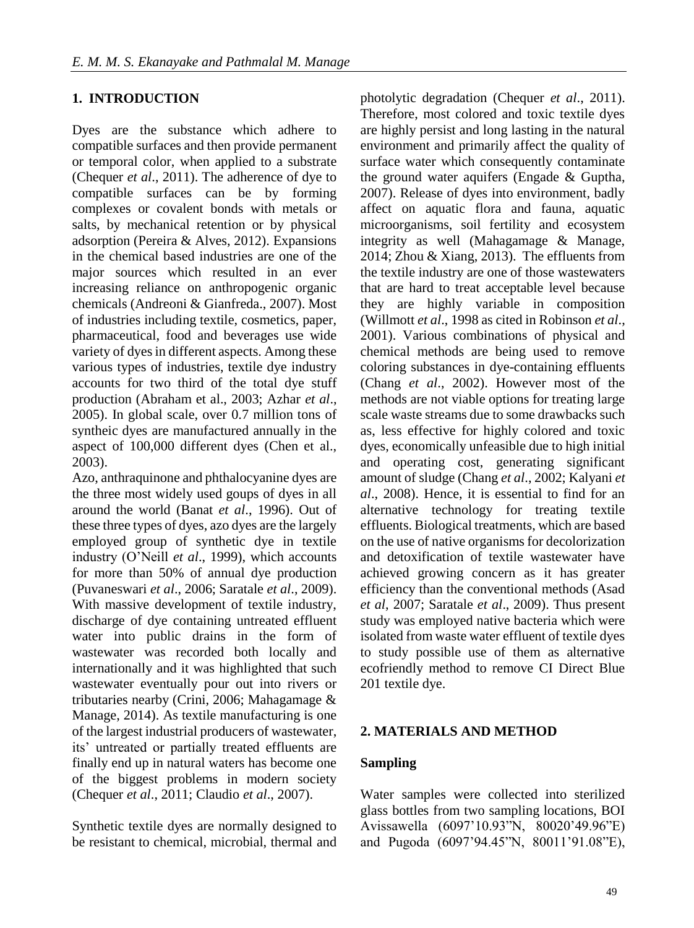# **1. INTRODUCTION**

Dyes are the substance which adhere to compatible surfaces and then provide permanent or temporal color, when applied to a substrate (Chequer *et al*., 2011). The adherence of dye to compatible surfaces can be by forming complexes or covalent bonds with metals or salts, by mechanical retention or by physical adsorption (Pereira & Alves, 2012). Expansions in the chemical based industries are one of the major sources which resulted in an ever increasing reliance on anthropogenic organic chemicals (Andreoni & Gianfreda., 2007). Most of industries including textile, cosmetics, paper, pharmaceutical, food and beverages use wide variety of dyes in different aspects. Among these various types of industries, textile dye industry accounts for two third of the total dye stuff production (Abraham et al., 2003; Azhar *et al*., 2005). In global scale, over 0.7 million tons of syntheic dyes are manufactured annually in the aspect of 100,000 different dyes (Chen et al., 2003).

Azo, anthraquinone and phthalocyanine dyes are the three most widely used goups of dyes in all around the world (Banat *et al*., 1996). Out of these three types of dyes, azo dyes are the largely employed group of synthetic dye in textile industry (O'Neill *et al*., 1999), which accounts for more than 50% of annual dye production (Puvaneswari *et al*., 2006; Saratale *et al*., 2009). With massive development of textile industry, discharge of dye containing untreated effluent water into public drains in the form of wastewater was recorded both locally and internationally and it was highlighted that such wastewater eventually pour out into rivers or tributaries nearby (Crini, 2006; Mahagamage & Manage, 2014). As textile manufacturing is one of the largest industrial producers of wastewater, its' untreated or partially treated effluents are finally end up in natural waters has become one of the biggest problems in modern society (Chequer *et al*., 2011; Claudio *et al*., 2007).

Synthetic textile dyes are normally designed to be resistant to chemical, microbial, thermal and

photolytic degradation (Chequer *et al*., 2011). Therefore, most colored and toxic textile dyes are highly persist and long lasting in the natural environment and primarily affect the quality of surface water which consequently contaminate the ground water aquifers (Engade & Guptha, 2007). Release of dyes into environment, badly affect on aquatic flora and fauna, aquatic microorganisms, soil fertility and ecosystem integrity as well (Mahagamage & Manage, 2014; Zhou & Xiang, 2013). The effluents from the textile industry are one of those wastewaters that are hard to treat acceptable level because they are highly variable in composition (Willmott *et al*., 1998 as cited in Robinson *et al*., 2001). Various combinations of physical and chemical methods are being used to remove coloring substances in dye-containing effluents (Chang *et al*., 2002). However most of the methods are not viable options for treating large scale waste streams due to some drawbacks such as, less effective for highly colored and toxic dyes, economically unfeasible due to high initial and operating cost, generating significant amount of sludge (Chang *et al*., 2002; Kalyani *et al*., 2008). Hence, it is essential to find for an alternative technology for treating textile effluents. Biological treatments, which are based on the use of native organisms for decolorization and detoxification of textile wastewater have achieved growing concern as it has greater efficiency than the conventional methods (Asad *et al*, 2007; Saratale *et al*., 2009). Thus present study was employed native bacteria which were isolated from waste water effluent of textile dyes to study possible use of them as alternative ecofriendly method to remove CI Direct Blue 201 textile dye.

## **2. MATERIALS AND METHOD**

## **Sampling**

Water samples were collected into sterilized glass bottles from two sampling locations, BOI Avissawella (6097'10.93"N, 80020'49.96"E) and Pugoda (6097'94.45"N, 80011'91.08"E),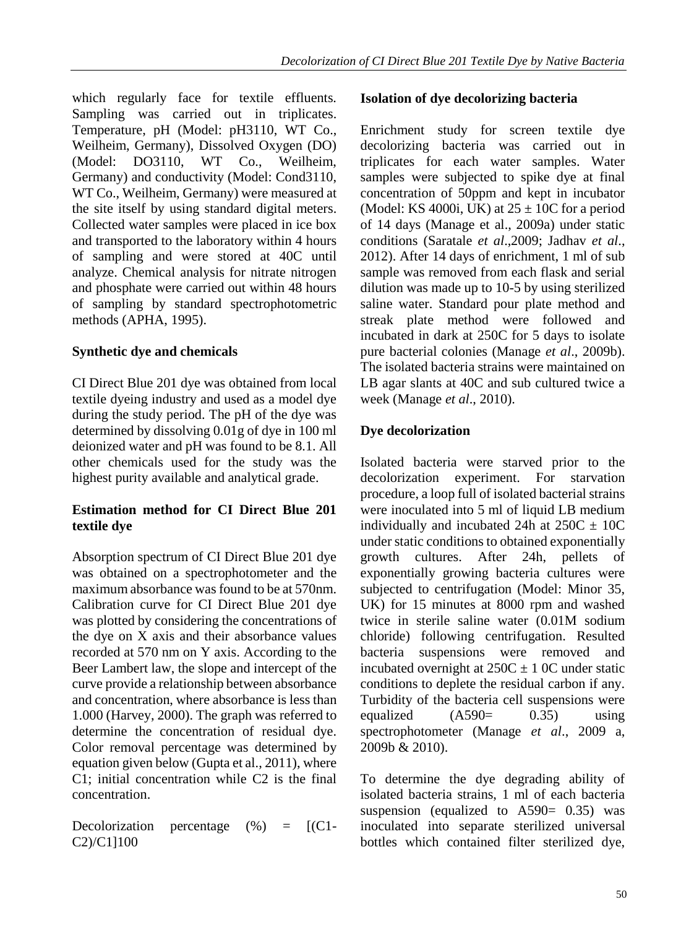which regularly face for textile effluents. Sampling was carried out in triplicates. Temperature, pH (Model: pH3110, WT Co., Weilheim, Germany), Dissolved Oxygen (DO) (Model: DO3110, WT Co., Weilheim, Germany) and conductivity (Model: Cond3110, WT Co., Weilheim, Germany) were measured at the site itself by using standard digital meters. Collected water samples were placed in ice box and transported to the laboratory within 4 hours of sampling and were stored at 40C until analyze. Chemical analysis for nitrate nitrogen and phosphate were carried out within 48 hours of sampling by standard spectrophotometric methods (APHA, 1995).

# **Synthetic dye and chemicals**

CI Direct Blue 201 dye was obtained from local textile dyeing industry and used as a model dye during the study period. The pH of the dye was determined by dissolving 0.01g of dye in 100 ml deionized water and pH was found to be 8.1. All other chemicals used for the study was the highest purity available and analytical grade.

## **Estimation method for CI Direct Blue 201 textile dye**

Absorption spectrum of CI Direct Blue 201 dye was obtained on a spectrophotometer and the maximum absorbance was found to be at 570nm. Calibration curve for CI Direct Blue 201 dye was plotted by considering the concentrations of the dye on X axis and their absorbance values recorded at 570 nm on Y axis. According to the Beer Lambert law, the slope and intercept of the curve provide a relationship between absorbance and concentration, where absorbance is less than 1.000 (Harvey, 2000). The graph was referred to determine the concentration of residual dye. Color removal percentage was determined by equation given below (Gupta et al., 2011), where C1; initial concentration while C2 is the final concentration.

Decolorization percentage  $(\%)$  =  $[(C1 -$ C2)/C1]100

#### **Isolation of dye decolorizing bacteria**

Enrichment study for screen textile dye decolorizing bacteria was carried out in triplicates for each water samples. Water samples were subjected to spike dye at final concentration of 50ppm and kept in incubator (Model: KS 4000i, UK) at  $25 \pm 10$ C for a period of 14 days (Manage et al., 2009a) under static conditions (Saratale *et al*.,2009; Jadhav *et al*., 2012). After 14 days of enrichment, 1 ml of sub sample was removed from each flask and serial dilution was made up to 10-5 by using sterilized saline water. Standard pour plate method and streak plate method were followed and incubated in dark at 250C for 5 days to isolate pure bacterial colonies (Manage *et al*., 2009b). The isolated bacteria strains were maintained on LB agar slants at 40C and sub cultured twice a week (Manage *et al*., 2010).

# **Dye decolorization**

Isolated bacteria were starved prior to the decolorization experiment. For starvation procedure, a loop full of isolated bacterial strains were inoculated into 5 ml of liquid LB medium individually and incubated 24h at  $250C \pm 10C$ under static conditions to obtained exponentially growth cultures. After 24h, pellets of exponentially growing bacteria cultures were subjected to centrifugation (Model: Minor 35, UK) for 15 minutes at 8000 rpm and washed twice in sterile saline water (0.01M sodium chloride) following centrifugation. Resulted bacteria suspensions were removed and incubated overnight at  $250C \pm 10C$  under static conditions to deplete the residual carbon if any. Turbidity of the bacteria cell suspensions were equalized  $( A590 = 0.35)$  using spectrophotometer (Manage *et al*., 2009 a, 2009b & 2010).

To determine the dye degrading ability of isolated bacteria strains, 1 ml of each bacteria suspension (equalized to  $A590= 0.35$ ) was inoculated into separate sterilized universal bottles which contained filter sterilized dye,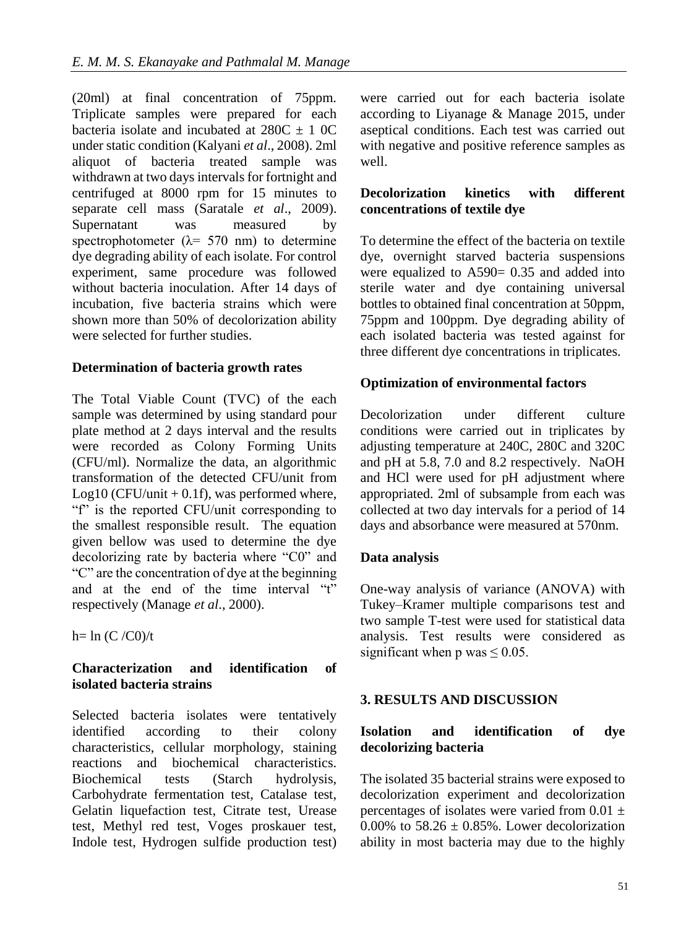(20ml) at final concentration of 75ppm. Triplicate samples were prepared for each bacteria isolate and incubated at  $280C \pm 10C$ under static condition (Kalyani *et al*., 2008). 2ml aliquot of bacteria treated sample was withdrawn at two days intervals for fortnight and centrifuged at 8000 rpm for 15 minutes to separate cell mass (Saratale *et al*., 2009). Supernatant was measured by spectrophotometer ( $\lambda$ = 570 nm) to determine dye degrading ability of each isolate. For control experiment, same procedure was followed without bacteria inoculation. After 14 days of incubation, five bacteria strains which were shown more than 50% of decolorization ability were selected for further studies.

## **Determination of bacteria growth rates**

The Total Viable Count (TVC) of the each sample was determined by using standard pour plate method at 2 days interval and the results were recorded as Colony Forming Units (CFU/ml). Normalize the data, an algorithmic transformation of the detected CFU/unit from Log10 (CFU/unit  $+$  0.1f), was performed where, "f" is the reported CFU/unit corresponding to the smallest responsible result. The equation given bellow was used to determine the dye decolorizing rate by bacteria where "C0" and "C" are the concentration of dye at the beginning and at the end of the time interval "t" respectively (Manage *et al*., 2000).

 $h= \ln (C/C0)/t$ 

## **Characterization and identification of isolated bacteria strains**

Selected bacteria isolates were tentatively identified according to their colony characteristics, cellular morphology, staining reactions and biochemical characteristics. Biochemical tests (Starch hydrolysis, Carbohydrate fermentation test, Catalase test, Gelatin liquefaction test, Citrate test, Urease test, Methyl red test, Voges proskauer test, Indole test, Hydrogen sulfide production test) were carried out for each bacteria isolate according to Liyanage & Manage 2015, under aseptical conditions. Each test was carried out with negative and positive reference samples as well.

# **Decolorization kinetics with different concentrations of textile dye**

To determine the effect of the bacteria on textile dye, overnight starved bacteria suspensions were equalized to A590= 0.35 and added into sterile water and dye containing universal bottles to obtained final concentration at 50ppm, 75ppm and 100ppm. Dye degrading ability of each isolated bacteria was tested against for three different dye concentrations in triplicates.

# **Optimization of environmental factors**

Decolorization under different culture conditions were carried out in triplicates by adjusting temperature at 240C, 280C and 320C and pH at 5.8, 7.0 and 8.2 respectively. NaOH and HCl were used for pH adjustment where appropriated. 2ml of subsample from each was collected at two day intervals for a period of 14 days and absorbance were measured at 570nm.

# **Data analysis**

One-way analysis of variance (ANOVA) with Tukey–Kramer multiple comparisons test and two sample T-test were used for statistical data analysis. Test results were considered as significant when p was  $\leq 0.05$ .

# **3. RESULTS AND DISCUSSION**

## **Isolation and identification of dye decolorizing bacteria**

The isolated 35 bacterial strains were exposed to decolorization experiment and decolorization percentages of isolates were varied from  $0.01 \pm$ 0.00% to  $58.26 \pm 0.85$ %. Lower decolorization ability in most bacteria may due to the highly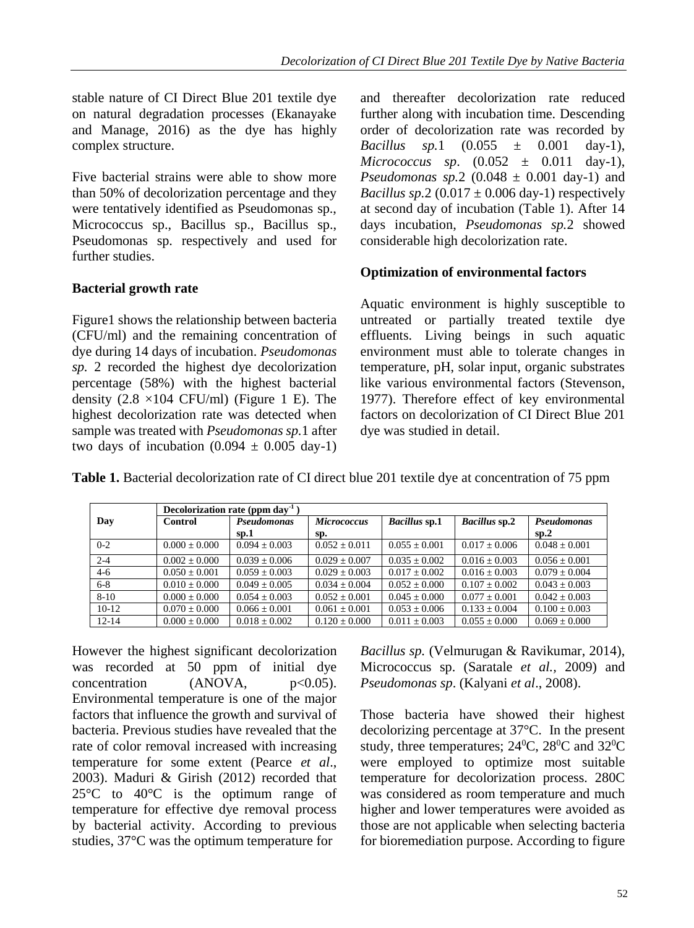stable nature of CI Direct Blue 201 textile dye on natural degradation processes (Ekanayake and Manage, 2016) as the dye has highly complex structure.

Five bacterial strains were able to show more than 50% of decolorization percentage and they were tentatively identified as Pseudomonas sp., Micrococcus sp., Bacillus sp., Bacillus sp., Pseudomonas sp. respectively and used for further studies.

# **Bacterial growth rate**

Figure1 shows the relationship between bacteria (CFU/ml) and the remaining concentration of dye during 14 days of incubation. *Pseudomonas sp.* 2 recorded the highest dye decolorization percentage (58%) with the highest bacterial density  $(2.8 \times 104 \text{ CFU/ml})$  (Figure 1 E). The highest decolorization rate was detected when sample was treated with *Pseudomonas sp.*1 after two days of incubation  $(0.094 \pm 0.005 \text{ day-1})$  and thereafter decolorization rate reduced further along with incubation time. Descending order of decolorization rate was recorded by *Bacillus sp.*1  $(0.055 \pm 0.001 \text{ day-1})$ , *Micrococcus sp.*  $(0.052 \pm 0.011 \text{ day-1})$ , *Pseudomonas sp.*2 (0.048  $\pm$  0.001 day-1) and *Bacillus sp.*2  $(0.017 \pm 0.006$  day-1) respectively at second day of incubation (Table 1). After 14 days incubation, *Pseudomonas sp.*2 showed considerable high decolorization rate.

# **Optimization of environmental factors**

Aquatic environment is highly susceptible to untreated or partially treated textile dye effluents. Living beings in such aquatic environment must able to tolerate changes in temperature, pH, solar input, organic substrates like various environmental factors (Stevenson, 1977). Therefore effect of key environmental factors on decolorization of CI Direct Blue 201 dye was studied in detail.

|           | Decolorization rate (ppm $\rm{day}^1$ ) |                 |                    |                      |                      |                    |
|-----------|-----------------------------------------|-----------------|--------------------|----------------------|----------------------|--------------------|
| Day       | <b>Control</b>                          | Pseudomonas     | <b>Micrococcus</b> | <b>Bacillus</b> sp.1 | <b>Bacillus</b> sp.2 | <b>Pseudomonas</b> |
|           |                                         | sn.1            | SD.                |                      |                      | SD.2               |
| $0 - 2$   | $0.000 \pm 0.000$                       | $0.094 + 0.003$ | $0.052 + 0.011$    | $0.055 + 0.001$      | $0.017 + 0.006$      | $0.048 + 0.001$    |
| $2 - 4$   | $0.002 + 0.000$                         | $0.039 + 0.006$ | $0.029 + 0.007$    | $0.035 + 0.002$      | $0.016 + 0.003$      | $0.056 + 0.001$    |
| $4-6$     | $0.050 + 0.001$                         | $0.059 + 0.003$ | $0.029 + 0.003$    | $0.017 \pm 0.002$    | $0.016 + 0.003$      | $0.079 + 0.004$    |
| $6 - 8$   | $0.010 + 0.000$                         | $0.049 + 0.005$ | $0.034 + 0.004$    | $0.052 + 0.000$      | $0.107 + 0.002$      | $0.043 + 0.003$    |
| $8-10$    | $0.000 \pm 0.000$                       | $0.054 + 0.003$ | $0.052 + 0.001$    | $0.045 + 0.000$      | $0.077 + 0.001$      | $0.042 + 0.003$    |
| $10-12$   | $0.070 + 0.000$                         | $0.066 + 0.001$ | $0.061 + 0.001$    | $0.053 + 0.006$      | $0.133 + 0.004$      | $0.100 + 0.003$    |
| $12 - 14$ | $0.000 \pm 0.000$                       | $0.018 + 0.002$ | $0.120 + 0.000$    | $0.011 + 0.003$      | $0.055 + 0.000$      | $0.069 + 0.000$    |

However the highest significant decolorization was recorded at 50 ppm of initial dye  $concentration$  (ANOVA,  $p<0.05$ ). Environmental temperature is one of the major factors that influence the growth and survival of bacteria. Previous studies have revealed that the rate of color removal increased with increasing temperature for some extent (Pearce *et al*., 2003). Maduri & Girish (2012) recorded that 25°C to 40°C is the optimum range of temperature for effective dye removal process by bacterial activity. According to previous studies, 37°C was the optimum temperature for

*Bacillus sp.* (Velmurugan & Ravikumar, 2014), Micrococcus sp. (Saratale *et al.,* 2009) and *Pseudomonas sp*. (Kalyani *et al*., 2008).

Those bacteria have showed their highest decolorizing percentage at 37°C. In the present study, three temperatures;  $24^{\circ}$ C,  $28^{\circ}$ C and  $32^{\circ}$ C were employed to optimize most suitable temperature for decolorization process. 280C was considered as room temperature and much higher and lower temperatures were avoided as those are not applicable when selecting bacteria for bioremediation purpose. According to figure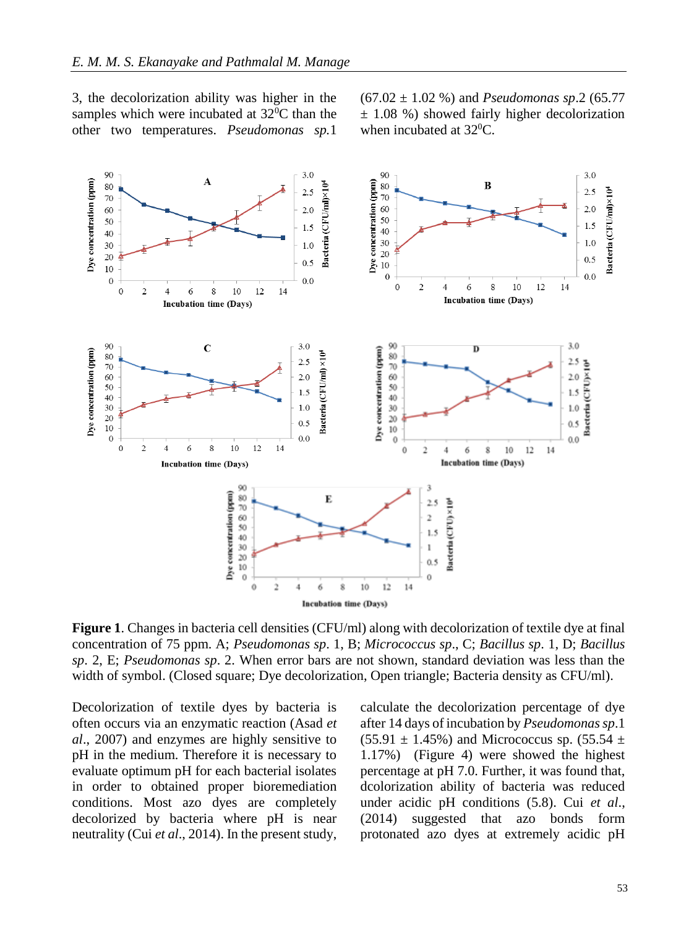3, the decolorization ability was higher in the samples which were incubated at 32<sup>0</sup>C than the other two temperatures. *Pseudomonas sp.*1 (67.02 ± 1.02 %) and *Pseudomonas sp*.2 (65.77  $\pm$  1.08 %) showed fairly higher decolorization when incubated at 32<sup>0</sup>C.



**Figure 1**. Changes in bacteria cell densities (CFU/ml) along with decolorization of textile dye at final concentration of 75 ppm. A; *Pseudomonas sp*. 1, B; *Micrococcus sp*., C; *Bacillus sp*. 1, D; *Bacillus sp*. 2, E; *Pseudomonas sp*. 2. When error bars are not shown, standard deviation was less than the width of symbol. (Closed square; Dye decolorization, Open triangle; Bacteria density as CFU/ml).

Decolorization of textile dyes by bacteria is often occurs via an enzymatic reaction (Asad *et al*., 2007) and enzymes are highly sensitive to pH in the medium. Therefore it is necessary to evaluate optimum pH for each bacterial isolates in order to obtained proper bioremediation conditions. Most azo dyes are completely decolorized by bacteria where pH is near neutrality (Cui *et al*., 2014). In the present study,

calculate the decolorization percentage of dye after 14 days of incubation by *Pseudomonas sp*.1  $(55.91 \pm 1.45\%)$  and Micrococcus sp.  $(55.54 \pm 1.45\%)$ 1.17%) (Figure 4) were showed the highest percentage at pH 7.0. Further, it was found that, dcolorization ability of bacteria was reduced under acidic pH conditions (5.8). Cui *et al*., (2014) suggested that azo bonds form protonated azo dyes at extremely acidic pH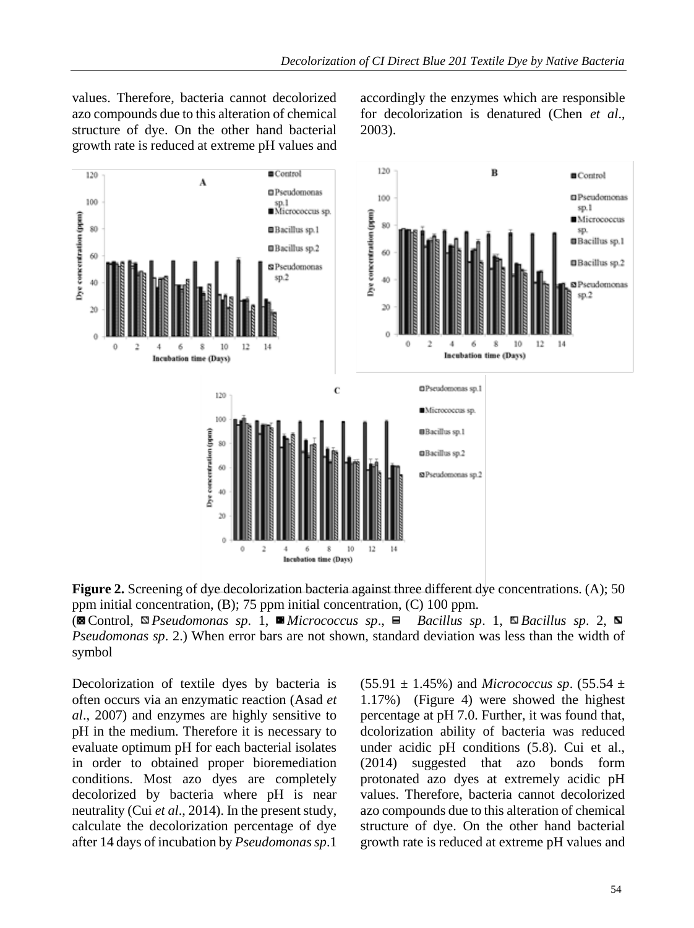values. Therefore, bacteria cannot decolorized azo compounds due to this alteration of chemical structure of dye. On the other hand bacterial growth rate is reduced at extreme pH values and accordingly the enzymes which are responsible for decolorization is denatured (Chen *et al*., 2003).



**Figure 2.** Screening of dye decolorization bacteria against three different dye concentrations. (A); 50 ppm initial concentration, (B); 75 ppm initial concentration, (C) 100 ppm.

( Control, *Pseudomonas sp*. 1, *Micrococcus sp*., *Bacillus sp*. 1, *Bacillus sp*. 2, *Pseudomonas sp*. 2.) When error bars are not shown, standard deviation was less than the width of symbol

Decolorization of textile dyes by bacteria is often occurs via an enzymatic reaction (Asad *et al*., 2007) and enzymes are highly sensitive to pH in the medium. Therefore it is necessary to evaluate optimum pH for each bacterial isolates in order to obtained proper bioremediation conditions. Most azo dyes are completely decolorized by bacteria where pH is near neutrality (Cui *et al*., 2014). In the present study, calculate the decolorization percentage of dye after 14 days of incubation by *Pseudomonas sp*.1

 $(55.91 \pm 1.45\%)$  and *Micrococcus sp.*  $(55.54 \pm 1.45\%)$ 1.17%) (Figure 4) were showed the highest percentage at pH 7.0. Further, it was found that, dcolorization ability of bacteria was reduced under acidic pH conditions (5.8). Cui et al., (2014) suggested that azo bonds form protonated azo dyes at extremely acidic pH values. Therefore, bacteria cannot decolorized azo compounds due to this alteration of chemical structure of dye. On the other hand bacterial growth rate is reduced at extreme pH values and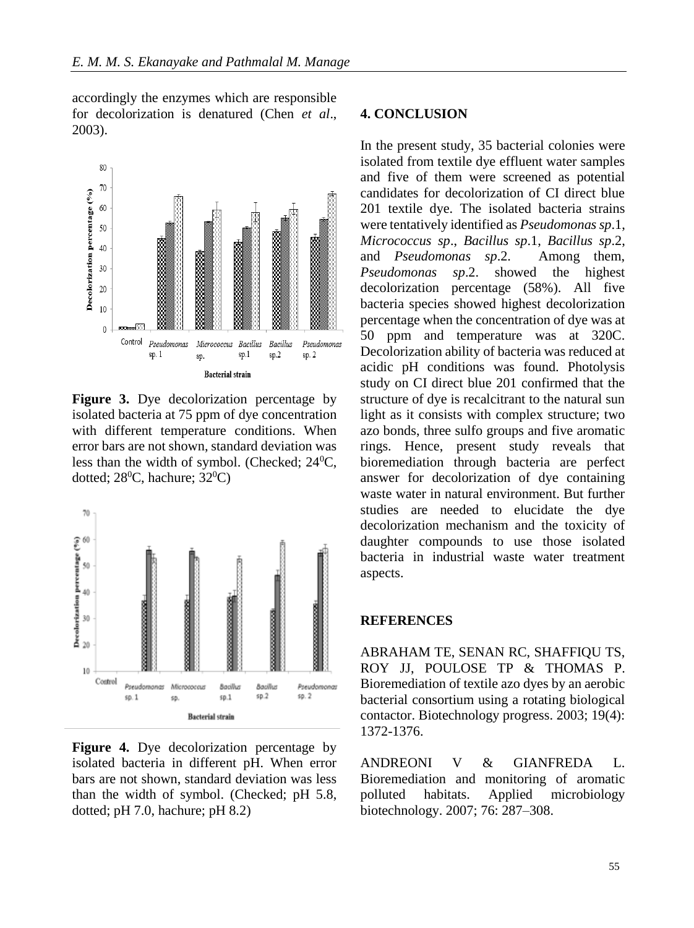accordingly the enzymes which are responsible for decolorization is denatured (Chen *et al*., 2003).



**Figure 3.** Dye decolorization percentage by isolated bacteria at 75 ppm of dye concentration with different temperature conditions. When error bars are not shown, standard deviation was less than the width of symbol. (Checked:  $24^{\circ}$ C, dotted;  $28^{\circ}$ C, hachure;  $32^{\circ}$ C)



**Figure 4.** Dye decolorization percentage by isolated bacteria in different pH. When error bars are not shown, standard deviation was less than the width of symbol. (Checked; pH 5.8, dotted; pH 7.0, hachure; pH 8.2)

#### **4. CONCLUSION**

In the present study, 35 bacterial colonies were isolated from textile dye effluent water samples and five of them were screened as potential candidates for decolorization of CI direct blue 201 textile dye. The isolated bacteria strains were tentatively identified as *Pseudomonas sp*.1, *Micrococcus sp*., *Bacillus sp*.1, *Bacillus sp*.2, and *Pseudomonas sp*.2. Among them, *Pseudomonas sp*.2. showed the highest decolorization percentage (58%). All five bacteria species showed highest decolorization percentage when the concentration of dye was at 50 ppm and temperature was at 320C. Decolorization ability of bacteria was reduced at acidic pH conditions was found. Photolysis study on CI direct blue 201 confirmed that the structure of dye is recalcitrant to the natural sun light as it consists with complex structure; two azo bonds, three sulfo groups and five aromatic rings. Hence, present study reveals that bioremediation through bacteria are perfect answer for decolorization of dye containing waste water in natural environment. But further studies are needed to elucidate the dye decolorization mechanism and the toxicity of daughter compounds to use those isolated bacteria in industrial waste water treatment aspects.

#### **REFERENCES**

ABRAHAM TE, SENAN RC, SHAFFIQU TS, ROY JJ, POULOSE TP & THOMAS P. Bioremediation of textile azo dyes by an aerobic bacterial consortium using a rotating biological contactor. Biotechnology progress. 2003; 19(4): 1372-1376.

ANDREONI V & GIANFREDA L. Bioremediation and monitoring of aromatic polluted habitats. Applied microbiology biotechnology. 2007; 76: 287–308.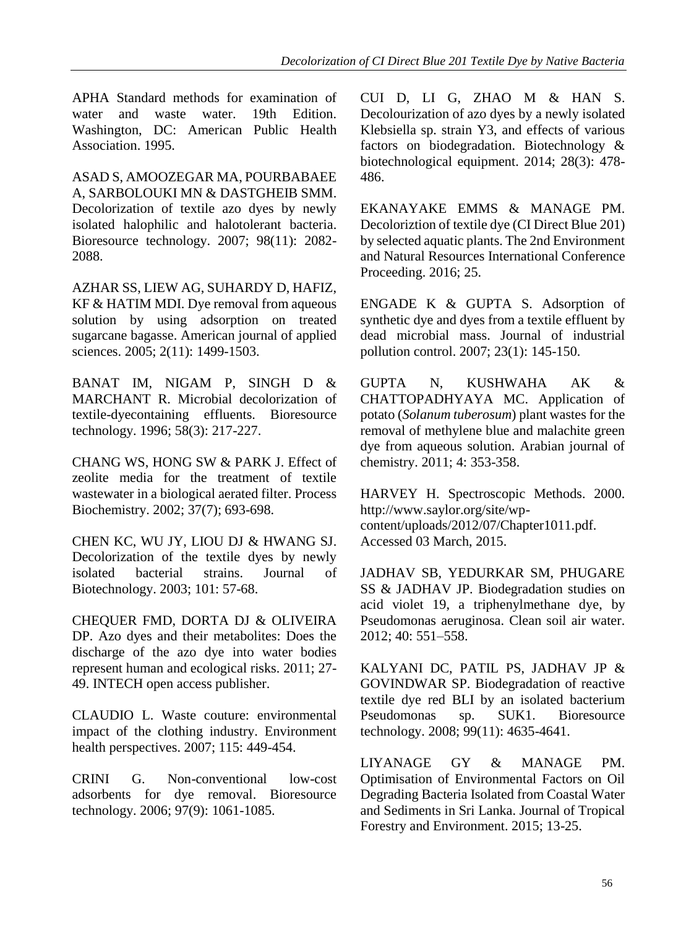APHA Standard methods for examination of water and waste water. 19th Edition. Washington, DC: American Public Health Association. 1995.

ASAD S, AMOOZEGAR MA, POURBABAEE A, SARBOLOUKI MN & DASTGHEIB SMM. Decolorization of textile azo dyes by newly isolated halophilic and halotolerant bacteria. Bioresource technology. 2007; 98(11): 2082- 2088.

AZHAR SS, LIEW AG, SUHARDY D, HAFIZ, KF & HATIM MDI. Dye removal from aqueous solution by using adsorption on treated sugarcane bagasse. American journal of applied sciences. 2005; 2(11): 1499-1503.

BANAT IM, NIGAM P, SINGH D & MARCHANT R. Microbial decolorization of textile-dyecontaining effluents. Bioresource technology. 1996; 58(3): 217-227.

CHANG WS, HONG SW & PARK J. Effect of zeolite media for the treatment of textile wastewater in a biological aerated filter. Process Biochemistry. 2002; 37(7); 693-698.

CHEN KC, WU JY, LIOU DJ & HWANG SJ. Decolorization of the textile dyes by newly isolated bacterial strains. Journal of Biotechnology. 2003; 101: 57-68.

CHEQUER FMD, DORTA DJ & OLIVEIRA DP. Azo dyes and their metabolites: Does the discharge of the azo dye into water bodies represent human and ecological risks. 2011; 27- 49. INTECH open access publisher.

CLAUDIO L. Waste couture: environmental impact of the clothing industry. Environment health perspectives. 2007; 115: 449-454.

CRINI G. Non-conventional low-cost adsorbents for dye removal. Bioresource technology. 2006; 97(9): 1061-1085.

CUI D, LI G, ZHAO M & HAN S. Decolourization of azo dyes by a newly isolated Klebsiella sp. strain Y3, and effects of various factors on biodegradation. Biotechnology & biotechnological equipment. 2014; 28(3): 478- 486.

EKANAYAKE EMMS & MANAGE PM. Decoloriztion of textile dye (CI Direct Blue 201) by selected aquatic plants. The 2nd Environment and Natural Resources International Conference Proceeding. 2016; 25.

ENGADE K & GUPTA S. Adsorption of synthetic dye and dyes from a textile effluent by dead microbial mass. Journal of industrial pollution control. 2007; 23(1): 145-150.

GUPTA N, KUSHWAHA AK & CHATTOPADHYAYA MC. Application of potato (*Solanum tuberosum*) plant wastes for the removal of methylene blue and malachite green dye from aqueous solution. Arabian journal of chemistry. 2011; 4: 353-358.

HARVEY H. Spectroscopic Methods. 2000. http://www.saylor.org/site/wpcontent/uploads/2012/07/Chapter1011.pdf. Accessed 03 March, 2015.

JADHAV SB, YEDURKAR SM, PHUGARE SS & JADHAV JP. Biodegradation studies on acid violet 19, a triphenylmethane dye, by Pseudomonas aeruginosa. Clean soil air water. 2012; 40: 551–558.

KALYANI DC, PATIL PS, JADHAV JP & GOVINDWAR SP. Biodegradation of reactive textile dye red BLI by an isolated bacterium Pseudomonas sp. SUK1. Bioresource technology. 2008; 99(11): 4635-4641.

LIYANAGE GY & MANAGE PM. Optimisation of Environmental Factors on Oil Degrading Bacteria Isolated from Coastal Water and Sediments in Sri Lanka. Journal of Tropical Forestry and Environment. 2015; 13-25.